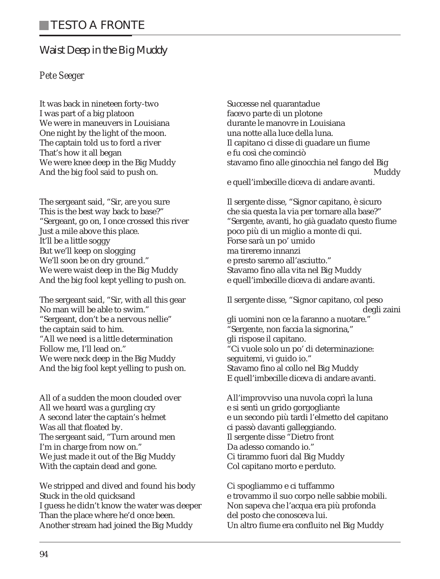## **Waist Deep in the Big Muddy**

## *Pete Seeger*

It was back in nineteen forty-two I was part of a big platoon We were in maneuvers in Louisiana One night by the light of the moon. The captain told us to ford a river That's how it all began We were knee deep in the Big Muddy And the big fool said to push on.

The sergeant said, "Sir, are you sure This is the best way back to base?" "Sergeant, go on, I once crossed this river Just a mile above this place. It'll be a little soggy But we'll keep on slogging We'll soon be on dry ground." We were waist deep in the Big Muddy And the big fool kept yelling to push on.

The sergeant said, "Sir, with all this gear No man will be able to swim." "Sergeant, don't be a nervous nellie" the captain said to him. "All we need is a little determination Follow me, I'll lead on." We were neck deep in the Big Muddy And the big fool kept yelling to push on.

All of a sudden the moon clouded over All we heard was a gurgling cry A second later the captain's helmet Was all that floated by. The sergeant said, "Turn around men I'm in charge from now on." We just made it out of the Big Muddy With the captain dead and gone.

We stripped and dived and found his body Stuck in the old quicksand I guess he didn't know the water was deeper Than the place where he'd once been. Another stream had joined the Big Muddy

Successe nel quarantadue facevo parte di un plotone durante le manovre in Louisiana una notte alla luce della luna. Il capitano ci disse di guadare un fiume e fu così che cominciò stavamo fino alle ginocchia nel fango del Big Muddy

e quell'imbecille diceva di andare avanti.

Il sergente disse, "Signor capitano, è sicuro che sia questa la via per tornare alla base?" "Sergente, avanti, ho già guadato questo fiume poco più di un miglio a monte di qui. Forse sarà un po' umido ma tireremo innanzi e presto saremo all'asciutto." Stavamo fino alla vita nel Big Muddy e quell'imbecille diceva di andare avanti.

Il sergente disse, "Signor capitano, col peso degli zaini gli uomini non ce la faranno a nuotare." "Sergente, non faccia la signorina," gli rispose il capitano. "Ci vuole solo un po' di determinazione: seguitemi, vi guido io." Stavamo fino al collo nel Big Muddy E quell'imbecille diceva di andare avanti.

All'improvviso una nuvola coprì la luna e si sentì un grido gorgogliante e un secondo più tardi l'elmetto del capitano ci passò davanti galleggiando. Il sergente disse "Dietro front Da adesso comando io." Ci tirammo fuori dal Big Muddy Col capitano morto e perduto.

Ci spogliammo e ci tuffammo e trovammo il suo corpo nelle sabbie mobili. Non sapeva che l'acqua era più profonda del posto che conosceva lui. Un altro fiume era confluito nel Big Muddy